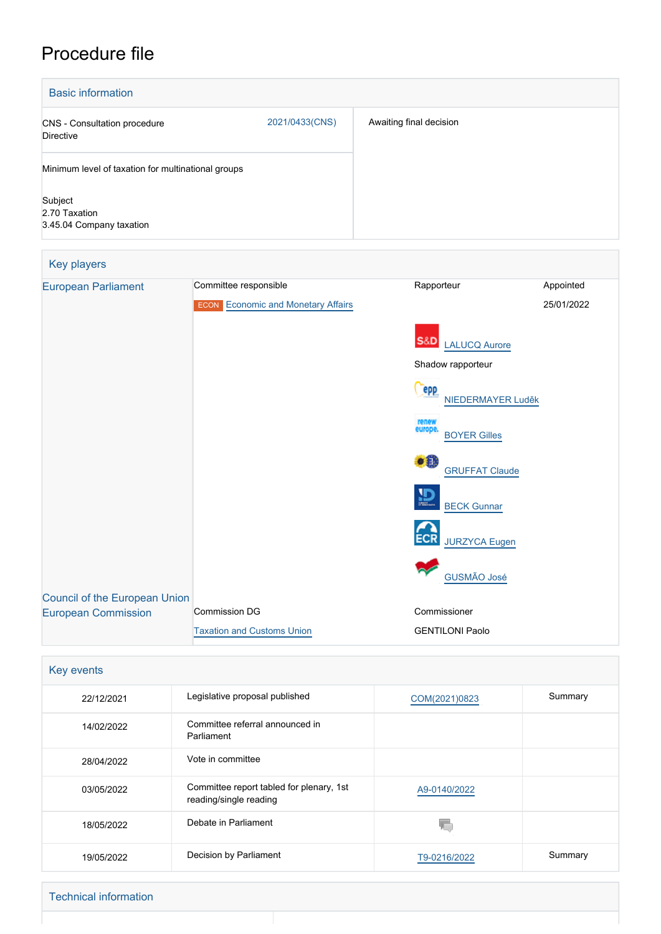# Procedure file

| <b>Basic information</b>                             |                |                         |  |  |
|------------------------------------------------------|----------------|-------------------------|--|--|
| <b>CNS</b> - Consultation procedure<br>Directive     | 2021/0433(CNS) | Awaiting final decision |  |  |
| Minimum level of taxation for multinational groups   |                |                         |  |  |
| Subject<br>2.70 Taxation<br>3.45.04 Company taxation |                |                         |  |  |

| Key players                          |                                           |                                         |            |
|--------------------------------------|-------------------------------------------|-----------------------------------------|------------|
| <b>European Parliament</b>           | Committee responsible                     | Rapporteur                              | Appointed  |
|                                      | <b>ECON</b> Economic and Monetary Affairs |                                         | 25/01/2022 |
|                                      |                                           | S&D<br>LALUCQ Aurore                    |            |
|                                      |                                           | Shadow rapporteur                       |            |
|                                      |                                           | epp<br>NIEDERMAYER Luděk                |            |
|                                      |                                           | renew<br>europe.<br><b>BOYER Gilles</b> |            |
|                                      |                                           | $\bullet$<br><b>GRUFFAT Claude</b>      |            |
|                                      |                                           | $\mathbf{D}$<br><b>BECK Gunnar</b>      |            |
|                                      |                                           | <b>JURZYCA Eugen</b>                    |            |
|                                      |                                           | <b>GUSMÃO José</b>                      |            |
| <b>Council of the European Union</b> | <b>Commission DG</b>                      | Commissioner                            |            |
| <b>European Commission</b>           |                                           |                                         |            |
|                                      | <b>Taxation and Customs Union</b>         | <b>GENTILONI Paolo</b>                  |            |

| Key events |                                                                    |               |         |  |
|------------|--------------------------------------------------------------------|---------------|---------|--|
| 22/12/2021 | Legislative proposal published                                     | COM(2021)0823 | Summary |  |
| 14/02/2022 | Committee referral announced in<br>Parliament                      |               |         |  |
| 28/04/2022 | Vote in committee                                                  |               |         |  |
| 03/05/2022 | Committee report tabled for plenary, 1st<br>reading/single reading | A9-0140/2022  |         |  |
| 18/05/2022 | Debate in Parliament                                               | V.            |         |  |
| 19/05/2022 | Decision by Parliament                                             | T9-0216/2022  | Summary |  |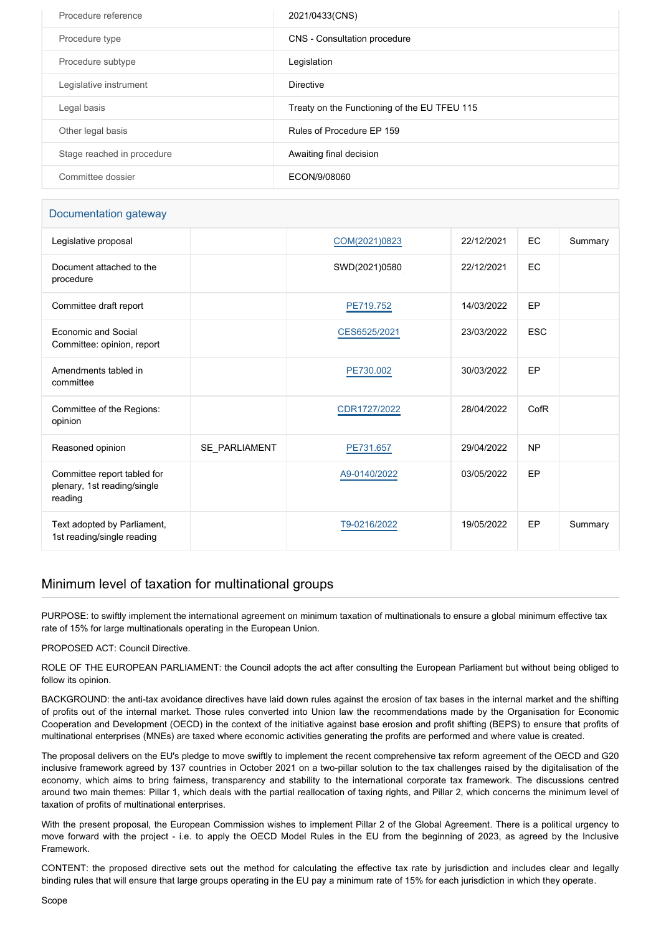| Procedure reference        | 2021/0433(CNS)                               |
|----------------------------|----------------------------------------------|
| Procedure type             | CNS - Consultation procedure                 |
| Procedure subtype          | Legislation                                  |
| Legislative instrument     | <b>Directive</b>                             |
| Legal basis                | Treaty on the Functioning of the EU TFEU 115 |
| Other legal basis          | Rules of Procedure EP 159                    |
| Stage reached in procedure | Awaiting final decision                      |
| Committee dossier          | ECON/9/08060                                 |

# Documentation gateway

| Legislative proposal                                                  |               | COM(2021)0823 | 22/12/2021 | EC         | Summary |
|-----------------------------------------------------------------------|---------------|---------------|------------|------------|---------|
| Document attached to the<br>procedure                                 |               | SWD(2021)0580 | 22/12/2021 | EC         |         |
| Committee draft report                                                |               | PE719.752     | 14/03/2022 | EP         |         |
| Economic and Social<br>Committee: opinion, report                     |               | CES6525/2021  | 23/03/2022 | <b>ESC</b> |         |
| Amendments tabled in<br>committee                                     |               | PE730.002     | 30/03/2022 | EP         |         |
| Committee of the Regions:<br>opinion                                  |               | CDR1727/2022  | 28/04/2022 | CofR       |         |
| Reasoned opinion                                                      | SE PARLIAMENT | PE731.657     | 29/04/2022 | <b>NP</b>  |         |
| Committee report tabled for<br>plenary, 1st reading/single<br>reading |               | A9-0140/2022  | 03/05/2022 | EP         |         |
| Text adopted by Parliament,<br>1st reading/single reading             |               | T9-0216/2022  | 19/05/2022 | EP         | Summary |

# Minimum level of taxation for multinational groups

PURPOSE: to swiftly implement the international agreement on minimum taxation of multinationals to ensure a global minimum effective tax rate of 15% for large multinationals operating in the European Union.

PROPOSED ACT: Council Directive.

ROLE OF THE EUROPEAN PARLIAMENT: the Council adopts the act after consulting the European Parliament but without being obliged to follow its opinion.

BACKGROUND: the anti-tax avoidance directives have laid down rules against the erosion of tax bases in the internal market and the shifting of profits out of the internal market. Those rules converted into Union law the recommendations made by the Organisation for Economic Cooperation and Development (OECD) in the context of the initiative against base erosion and profit shifting (BEPS) to ensure that profits of multinational enterprises (MNEs) are taxed where economic activities generating the profits are performed and where value is created.

The proposal delivers on the EU's pledge to move swiftly to implement the recent comprehensive tax reform agreement of the OECD and G20 inclusive framework agreed by 137 countries in October 2021 on a two-pillar solution to the tax challenges raised by the digitalisation of the economy, which aims to bring fairness, transparency and stability to the international corporate tax framework. The discussions centred around two main themes: Pillar 1, which deals with the partial reallocation of taxing rights, and Pillar 2, which concerns the minimum level of taxation of profits of multinational enterprises.

With the present proposal, the European Commission wishes to implement Pillar 2 of the Global Agreement. There is a political urgency to move forward with the project - i.e. to apply the OECD Model Rules in the EU from the beginning of 2023, as agreed by the Inclusive Framework.

CONTENT: the proposed directive sets out the method for calculating the effective tax rate by jurisdiction and includes clear and legally binding rules that will ensure that large groups operating in the EU pay a minimum rate of 15% for each jurisdiction in which they operate.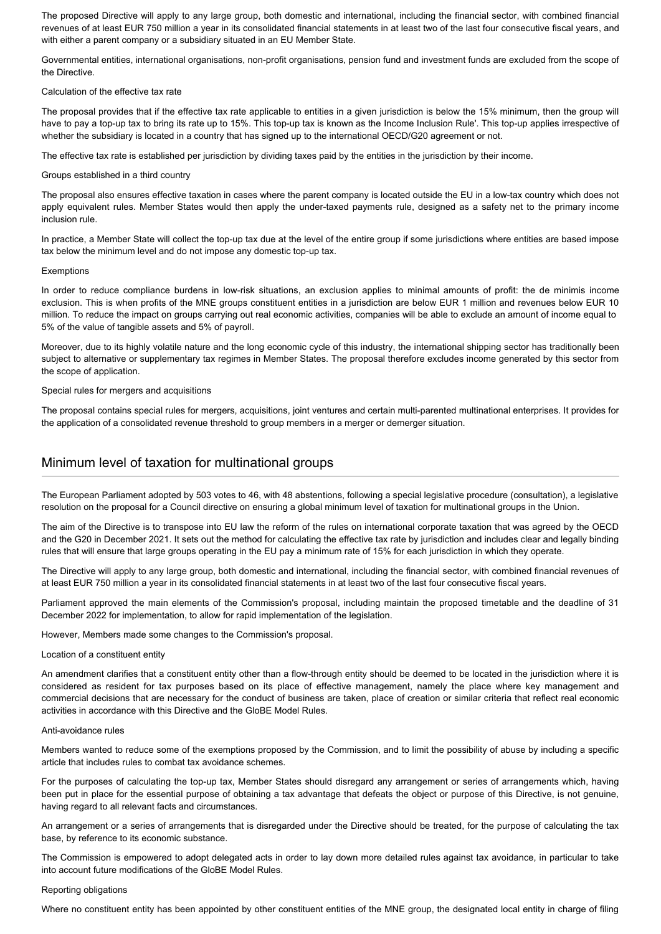The proposed Directive will apply to any large group, both domestic and international, including the financial sector, with combined financial revenues of at least EUR 750 million a year in its consolidated financial statements in at least two of the last four consecutive fiscal years, and with either a parent company or a subsidiary situated in an EU Member State.

Governmental entities, international organisations, non-profit organisations, pension fund and investment funds are excluded from the scope of the Directive.

## Calculation of the effective tax rate

The proposal provides that if the effective tax rate applicable to entities in a given jurisdiction is below the 15% minimum, then the group will have to pay a top-up tax to bring its rate up to 15%. This top-up tax is known as the Income Inclusion Rule'. This top-up applies irrespective of whether the subsidiary is located in a country that has signed up to the international OECD/G20 agreement or not.

The effective tax rate is established per jurisdiction by dividing taxes paid by the entities in the jurisdiction by their income.

## Groups established in a third country

The proposal also ensures effective taxation in cases where the parent company is located outside the EU in a low-tax country which does not apply equivalent rules. Member States would then apply the under-taxed payments rule, designed as a safety net to the primary income inclusion rule.

In practice, a Member State will collect the top-up tax due at the level of the entire group if some jurisdictions where entities are based impose tax below the minimum level and do not impose any domestic top-up tax.

#### Exemptions

In order to reduce compliance burdens in low-risk situations, an exclusion applies to minimal amounts of profit: the de minimis income exclusion. This is when profits of the MNE groups constituent entities in a jurisdiction are below EUR 1 million and revenues below EUR 10 million. To reduce the impact on groups carrying out real economic activities, companies will be able to exclude an amount of income equal to 5% of the value of tangible assets and 5% of payroll.

Moreover, due to its highly volatile nature and the long economic cycle of this industry, the international shipping sector has traditionally been subject to alternative or supplementary tax regimes in Member States. The proposal therefore excludes income generated by this sector from the scope of application.

#### Special rules for mergers and acquisitions

The proposal contains special rules for mergers, acquisitions, joint ventures and certain multi-parented multinational enterprises. It provides for the application of a consolidated revenue threshold to group members in a merger or demerger situation.

# Minimum level of taxation for multinational groups

The European Parliament adopted by 503 votes to 46, with 48 abstentions, following a special legislative procedure (consultation), a legislative resolution on the proposal for a Council directive on ensuring a global minimum level of taxation for multinational groups in the Union.

The aim of the Directive is to transpose into EU law the reform of the rules on international corporate taxation that was agreed by the OECD and the G20 in December 2021. It sets out the method for calculating the effective tax rate by jurisdiction and includes clear and legally binding rules that will ensure that large groups operating in the EU pay a minimum rate of 15% for each jurisdiction in which they operate.

The Directive will apply to any large group, both domestic and international, including the financial sector, with combined financial revenues of at least EUR 750 million a year in its consolidated financial statements in at least two of the last four consecutive fiscal years.

Parliament approved the main elements of the Commission's proposal, including maintain the proposed timetable and the deadline of 31 December 2022 for implementation, to allow for rapid implementation of the legislation.

However, Members made some changes to the Commission's proposal.

## Location of a constituent entity

An amendment clarifies that a constituent entity other than a flow-through entity should be deemed to be located in the jurisdiction where it is considered as resident for tax purposes based on its place of effective management, namely the place where key management and commercial decisions that are necessary for the conduct of business are taken, place of creation or similar criteria that reflect real economic activities in accordance with this Directive and the GloBE Model Rules.

#### Anti-avoidance rules

Members wanted to reduce some of the exemptions proposed by the Commission, and to limit the possibility of abuse by including a specific article that includes rules to combat tax avoidance schemes.

For the purposes of calculating the top-up tax, Member States should disregard any arrangement or series of arrangements which, having been put in place for the essential purpose of obtaining a tax advantage that defeats the object or purpose of this Directive, is not genuine, having regard to all relevant facts and circumstances.

An arrangement or a series of arrangements that is disregarded under the Directive should be treated, for the purpose of calculating the tax base, by reference to its economic substance.

The Commission is empowered to adopt delegated acts in order to lay down more detailed rules against tax avoidance, in particular to take into account future modifications of the GloBE Model Rules.

## Reporting obligations

Where no constituent entity has been appointed by other constituent entities of the MNE group, the designated local entity in charge of filing